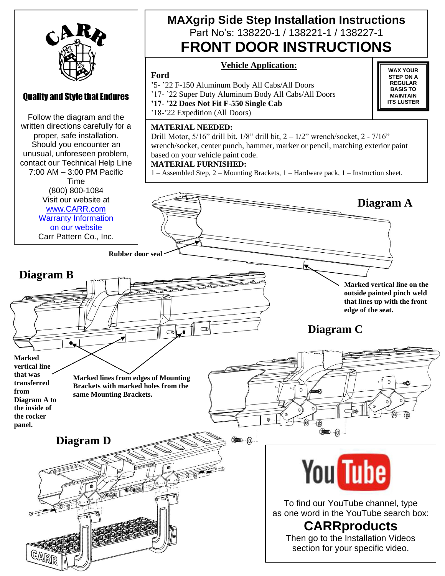

## Quality and Style that Endures

Follow the diagram and the written directions carefully for a proper, safe installation. Should you encounter an unusual, unforeseen problem, contact our Technical Help Line 7:00 AM – 3:00 PM Pacific Time (800) 800-1084 Visit our website at [www.CARR.com](http://www.carr.com/) Warranty Information on our website Carr Pattern Co., Inc.

# **MAXgrip Side Step Installation Instructions**  Part No's: 138220-1 / 138221-1 / 138227-1 **FRONT DOOR INSTRUCTIONS**

**WAX YOUR STEP ON A REGULAR BASIS TO MAINTAIN ITS LUSTER**

## **Vehicle Application:**

### **Ford**

'5- '22 F-150 Aluminum Body All Cabs/All Doors

'17- '22 Super Duty Aluminum Body All Cabs/All Doors

**'17- '22 Does Not Fit F-550 Single Cab**

'18-'22 Expedition (All Doors)

### **MATERIAL NEEDED:**

Drill Motor,  $5/16$ " drill bit,  $1/8$ " drill bit,  $2 - 1/2$ " wrench/socket,  $2 - 7/16$ " wrench/socket, center punch, hammer, marker or pencil, matching exterior paint based on your vehicle paint code.

### **MATERIAL FURNISHED:**

1 – Assembled Step, 2 – Mounting Brackets, 1 – Hardware pack, 1 – Instruction sheet.



To find our YouTube channel, type as one word in the YouTube search box:

# **CARRproducts**

Then go to the Installation Videos section for your specific video.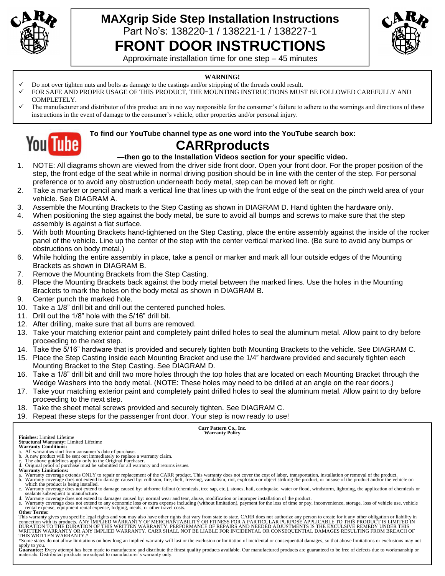

# **MAXgrip Side Step Installation Instructions**  Part No's: 138220-1 / 138221-1 / 138227-1 **FRONT DOOR INSTRUCTIONS**



Approximate installation time for one step – 45 minutes

#### **WARNING!**

- ✓ Do not over tighten nuts and bolts as damage to the castings and/or stripping of the threads could result.
- ✓ FOR SAFE AND PROPER USAGE OF THIS PRODUCT, THE MOUNTING INSTRUCTIONS MUST BE FOLLOWED CAREFULLY AND COMPLETELY.
- $\checkmark$  The manufacturer and distributor of this product are in no way responsible for the consumer's failure to adhere to the warnings and directions of these instructions in the event of damage to the consumer's vehicle, other properties and/or personal injury.



### **To find our YouTube channel type as one word into the YouTube search box: CARRproducts**

## **—then go to the Installation Videos section for your specific video.**

- 1. NOTE: All diagrams shown are viewed from the driver side front door. Open your front door. For the proper position of the step, the front edge of the seat while in normal driving position should be in line with the center of the step. For personal preference or to avoid any obstruction underneath body metal, step can be moved left or right.
- 2. Take a marker or pencil and mark a vertical line that lines up with the front edge of the seat on the pinch weld area of your vehicle. See DIAGRAM A.
- 3. Assemble the Mounting Brackets to the Step Casting as shown in DIAGRAM D. Hand tighten the hardware only.
- 4. When positioning the step against the body metal, be sure to avoid all bumps and screws to make sure that the step assembly is against a flat surface.
- 5. With both Mounting Brackets hand-tightened on the Step Casting, place the entire assembly against the inside of the rocker panel of the vehicle. Line up the center of the step with the center vertical marked line. (Be sure to avoid any bumps or obstructions on body metal.)
- 6. While holding the entire assembly in place, take a pencil or marker and mark all four outside edges of the Mounting Brackets as shown in DIAGRAM B.
- 7. Remove the Mounting Brackets from the Step Casting.
- 8. Place the Mounting Brackets back against the body metal between the marked lines. Use the holes in the Mounting Brackets to mark the holes on the body metal as shown in DIAGRAM B.
- 9. Center punch the marked hole.
- 10. Take a 1/8" drill bit and drill out the centered punched holes.
- 11. Drill out the 1/8" hole with the 5/16" drill bit.
- 12. After drilling, make sure that all burrs are removed.
- 13. Take your matching exterior paint and completely paint drilled holes to seal the aluminum metal. Allow paint to dry before proceeding to the next step.
- 14. Take the 5/16" hardware that is provided and securely tighten both Mounting Brackets to the vehicle. See DIAGRAM C.
- 15. Place the Step Casting inside each Mounting Bracket and use the 1/4" hardware provided and securely tighten each Mounting Bracket to the Step Casting. See DIAGRAM D.
- 16. Take a 1/8" drill bit and drill two more holes through the top holes that are located on each Mounting Bracket through the Wedge Washers into the body metal. (NOTE: These holes may need to be drilled at an angle on the rear doors.)
- 17. Take your matching exterior paint and completely paint drilled holes to seal the aluminum metal. Allow paint to dry before proceeding to the next step.
- 18. Take the sheet metal screws provided and securely tighten. See DIAGRAM C.
- 19. Repeat these steps for the passenger front door. Your step is now ready to use!

**Carr Pattern Co., Inc. Warranty Policy**

**Finishes:** Limited Lifetime

**Structural Warranty:** Limited Lifetime **Warranty Conditions:**

- a. All warranties start from consumer's date of purchase. b. A new product will be sent out immediately to replace a warranty claim. c. The above guidelines apply only to the Original Purchaser.
- d. Original proof of purchase must be submitted for all warranty and returns issues. **Warranty Limitations:**
- 
- a. Warranty coverage extends ONLY to repair or replacement of the CARR product. This warranty does not cover the cost of labor, transportation, installation or removal of the product.<br>b. Warranty coverage does not extend t
- which the product is being installed.<br>c. Warranty coverage does not extend to damage caused by: airborne fallout (chemicals, tree sap, etc.), stones, hail, earthquake, water or flood, windstorm, lightning, the application sealants subsequent to manufacture.
- 

d. Warranty coverage does not extend to damages caused by: normal wear and tear, abuse, modification or improper installation of the product.<br>e. Warranty coverage does not extend to any economic loss or extra expense inclu rental expense, equipment rental expense, lodging, meals, or other travel costs. **Other Terms:**

This warranty gives you specific legal rights and you may also have other rights that vary from state to state. CARR does not authorize any person to create for it any other obligation or liability in<br>connection with its p WRITTEN WARRANTY OR ANY IMPLIED WARRANTY. CARR SHALL NOT BE LIABLE FOR INCIDENTAL OR CONSEQUENTIAL DAMAGES RESULTING FROM BREACH OF<br>THIS WRITTEN WARRANTY.\*

\*Some states do not allow limitations on how long an implied warranty will last or the exclusion or limitation of incidental or consequential damages, so that above limitations or exclusions may not

apply to you.<br>**Guarantee:** Every attempt has been made to manufacture and distribute the finest quality products available. Our manufactured products are guaranteed to be free of defects due to workmanship or materials. Distributed products are subject to manufacturer's warranty only.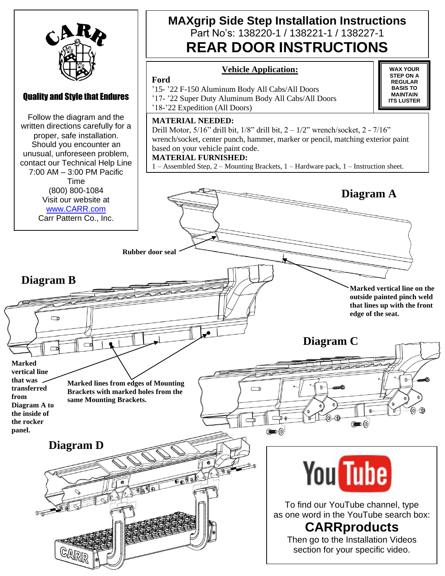